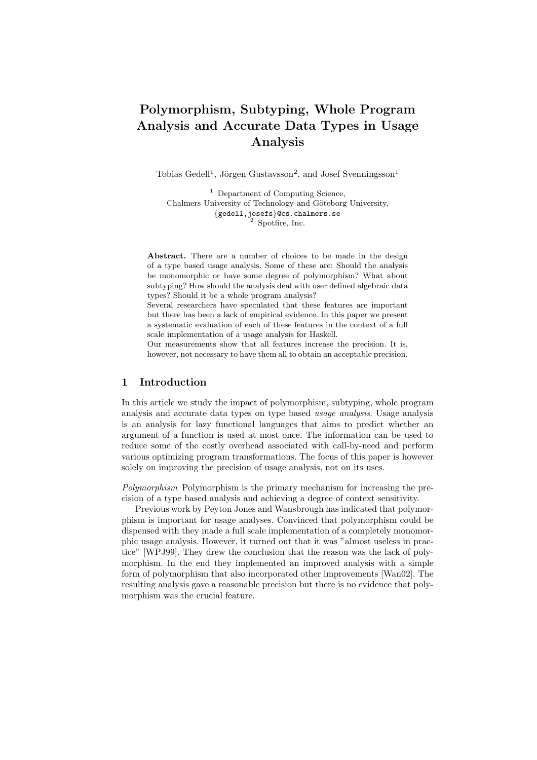# Polymorphism, Subtyping, Whole Program Analysis and Accurate Data Types in Usage Analysis

Tobias Gedell<sup>1</sup>, Jörgen Gustavsson<sup>2</sup>, and Josef Svenningsson<sup>1</sup>

<sup>1</sup> Department of Computing Science, Chalmers University of Technology and Göteborg University, {gedell,josefs}@cs.chalmers.se  $2$  Spotfire, Inc.

Abstract. There are a number of choices to be made in the design of a type based usage analysis. Some of these are: Should the analysis be monomorphic or have some degree of polymorphism? What about subtyping? How should the analysis deal with user defined algebraic data types? Should it be a whole program analysis?

Several researchers have speculated that these features are important but there has been a lack of empirical evidence. In this paper we present a systematic evaluation of each of these features in the context of a full scale implementation of a usage analysis for Haskell.

Our measurements show that all features increase the precision. It is, however, not necessary to have them all to obtain an acceptable precision.

## 1 Introduction

In this article we study the impact of polymorphism, subtyping, whole program analysis and accurate data types on type based usage analysis. Usage analysis is an analysis for lazy functional languages that aims to predict whether an argument of a function is used at most once. The information can be used to reduce some of the costly overhead associated with call-by-need and perform various optimizing program transformations. The focus of this paper is however solely on improving the precision of usage analysis, not on its uses.

Polymorphism Polymorphism is the primary mechanism for increasing the precision of a type based analysis and achieving a degree of context sensitivity.

Previous work by Peyton Jones and Wansbrough has indicated that polymorphism is important for usage analyses. Convinced that polymorphism could be dispensed with they made a full scale implementation of a completely monomorphic usage analysis. However, it turned out that it was "almost useless in practice" [WPJ99]. They drew the conclusion that the reason was the lack of polymorphism. In the end they implemented an improved analysis with a simple form of polymorphism that also incorporated other improvements [Wan02]. The resulting analysis gave a reasonable precision but there is no evidence that polymorphism was the crucial feature.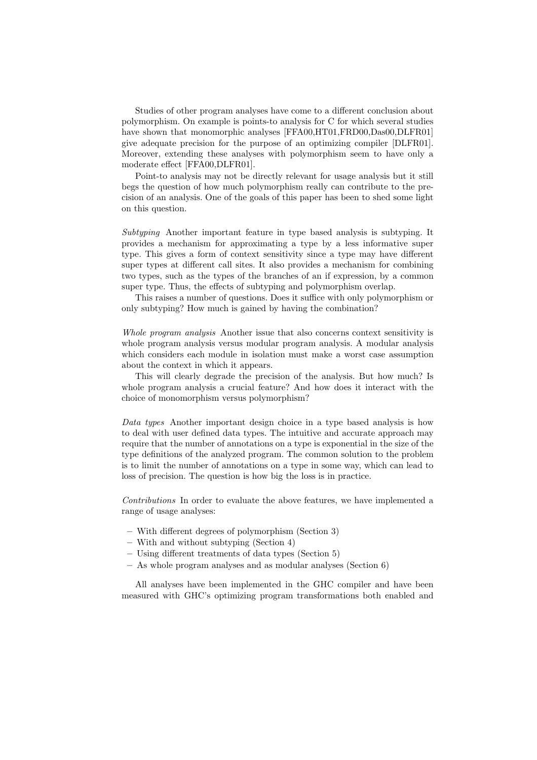Studies of other program analyses have come to a different conclusion about polymorphism. On example is points-to analysis for C for which several studies have shown that monomorphic analyses [FFA00,HT01,FRD00,Das00,DLFR01] give adequate precision for the purpose of an optimizing compiler [DLFR01]. Moreover, extending these analyses with polymorphism seem to have only a moderate effect [FFA00,DLFR01].

Point-to analysis may not be directly relevant for usage analysis but it still begs the question of how much polymorphism really can contribute to the precision of an analysis. One of the goals of this paper has been to shed some light on this question.

Subtyping Another important feature in type based analysis is subtyping. It provides a mechanism for approximating a type by a less informative super type. This gives a form of context sensitivity since a type may have different super types at different call sites. It also provides a mechanism for combining two types, such as the types of the branches of an if expression, by a common super type. Thus, the effects of subtyping and polymorphism overlap.

This raises a number of questions. Does it suffice with only polymorphism or only subtyping? How much is gained by having the combination?

Whole program analysis Another issue that also concerns context sensitivity is whole program analysis versus modular program analysis. A modular analysis which considers each module in isolation must make a worst case assumption about the context in which it appears.

This will clearly degrade the precision of the analysis. But how much? Is whole program analysis a crucial feature? And how does it interact with the choice of monomorphism versus polymorphism?

Data types Another important design choice in a type based analysis is how to deal with user defined data types. The intuitive and accurate approach may require that the number of annotations on a type is exponential in the size of the type definitions of the analyzed program. The common solution to the problem is to limit the number of annotations on a type in some way, which can lead to loss of precision. The question is how big the loss is in practice.

Contributions In order to evaluate the above features, we have implemented a range of usage analyses:

- With different degrees of polymorphism (Section 3)
- With and without subtyping (Section 4)
- Using different treatments of data types (Section 5)
- As whole program analyses and as modular analyses (Section 6)

All analyses have been implemented in the GHC compiler and have been measured with GHC's optimizing program transformations both enabled and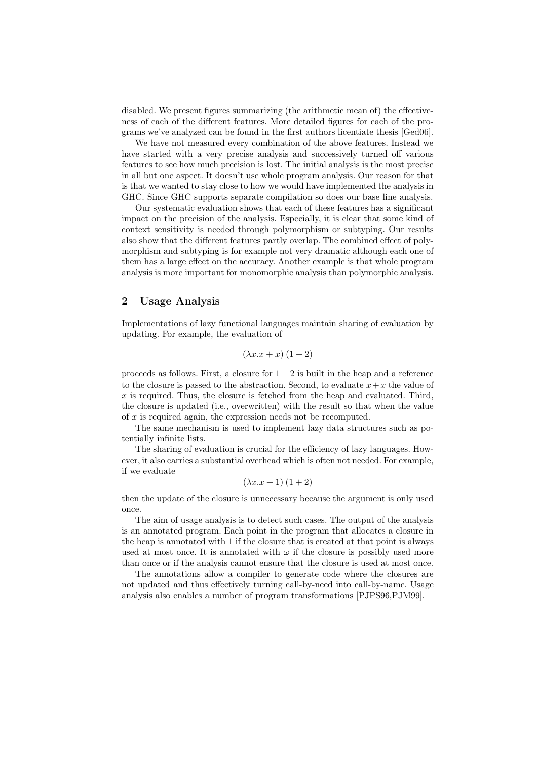disabled. We present figures summarizing (the arithmetic mean of) the effectiveness of each of the different features. More detailed figures for each of the programs we've analyzed can be found in the first authors licentiate thesis [Ged06].

We have not measured every combination of the above features. Instead we have started with a very precise analysis and successively turned off various features to see how much precision is lost. The initial analysis is the most precise in all but one aspect. It doesn't use whole program analysis. Our reason for that is that we wanted to stay close to how we would have implemented the analysis in GHC. Since GHC supports separate compilation so does our base line analysis.

Our systematic evaluation shows that each of these features has a significant impact on the precision of the analysis. Especially, it is clear that some kind of context sensitivity is needed through polymorphism or subtyping. Our results also show that the different features partly overlap. The combined effect of polymorphism and subtyping is for example not very dramatic although each one of them has a large effect on the accuracy. Another example is that whole program analysis is more important for monomorphic analysis than polymorphic analysis.

#### 2 Usage Analysis

Implementations of lazy functional languages maintain sharing of evaluation by updating. For example, the evaluation of

$$
(\lambda x.x + x) (1+2)
$$

proceeds as follows. First, a closure for  $1+2$  is built in the heap and a reference to the closure is passed to the abstraction. Second, to evaluate  $x+x$  the value of  $x$  is required. Thus, the closure is fetched from the heap and evaluated. Third, the closure is updated (i.e., overwritten) with the result so that when the value of x is required again, the expression needs not be recomputed.

The same mechanism is used to implement lazy data structures such as potentially infinite lists.

The sharing of evaluation is crucial for the efficiency of lazy languages. However, it also carries a substantial overhead which is often not needed. For example, if we evaluate

$$
(\lambda x.x + 1) (1 + 2)
$$

then the update of the closure is unnecessary because the argument is only used once.

The aim of usage analysis is to detect such cases. The output of the analysis is an annotated program. Each point in the program that allocates a closure in the heap is annotated with 1 if the closure that is created at that point is always used at most once. It is annotated with  $\omega$  if the closure is possibly used more than once or if the analysis cannot ensure that the closure is used at most once.

The annotations allow a compiler to generate code where the closures are not updated and thus effectively turning call-by-need into call-by-name. Usage analysis also enables a number of program transformations [PJPS96,PJM99].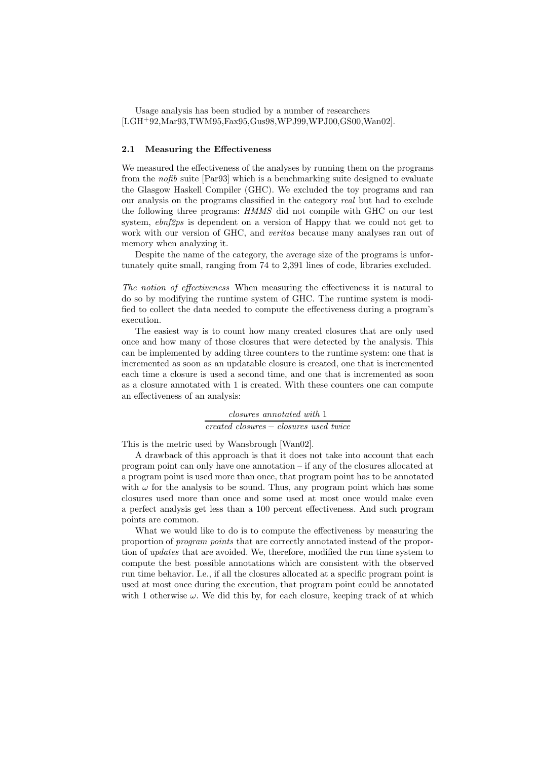Usage analysis has been studied by a number of researchers [LGH+92,Mar93,TWM95,Fax95,Gus98,WPJ99,WPJ00,GS00,Wan02].

#### 2.1 Measuring the Effectiveness

We measured the effectiveness of the analyses by running them on the programs from the nofib suite [Par93] which is a benchmarking suite designed to evaluate the Glasgow Haskell Compiler (GHC). We excluded the toy programs and ran our analysis on the programs classified in the category real but had to exclude the following three programs: HMMS did not compile with GHC on our test system,  $ebnf2ps$  is dependent on a version of Happy that we could not get to work with our version of GHC, and *veritas* because many analyses ran out of memory when analyzing it.

Despite the name of the category, the average size of the programs is unfortunately quite small, ranging from 74 to 2,391 lines of code, libraries excluded.

The notion of effectiveness When measuring the effectiveness it is natural to do so by modifying the runtime system of GHC. The runtime system is modified to collect the data needed to compute the effectiveness during a program's execution.

The easiest way is to count how many created closures that are only used once and how many of those closures that were detected by the analysis. This can be implemented by adding three counters to the runtime system: one that is incremented as soon as an updatable closure is created, one that is incremented each time a closure is used a second time, and one that is incremented as soon as a closure annotated with 1 is created. With these counters one can compute an effectiveness of an analysis:

> closures annotated with 1 created closures − closures used twice

This is the metric used by Wansbrough [Wan02].

A drawback of this approach is that it does not take into account that each program point can only have one annotation – if any of the closures allocated at a program point is used more than once, that program point has to be annotated with  $\omega$  for the analysis to be sound. Thus, any program point which has some closures used more than once and some used at most once would make even a perfect analysis get less than a 100 percent effectiveness. And such program points are common.

What we would like to do is to compute the effectiveness by measuring the proportion of program points that are correctly annotated instead of the proportion of *updates* that are avoided. We, therefore, modified the run time system to compute the best possible annotations which are consistent with the observed run time behavior. I.e., if all the closures allocated at a specific program point is used at most once during the execution, that program point could be annotated with 1 otherwise  $\omega$ . We did this by, for each closure, keeping track of at which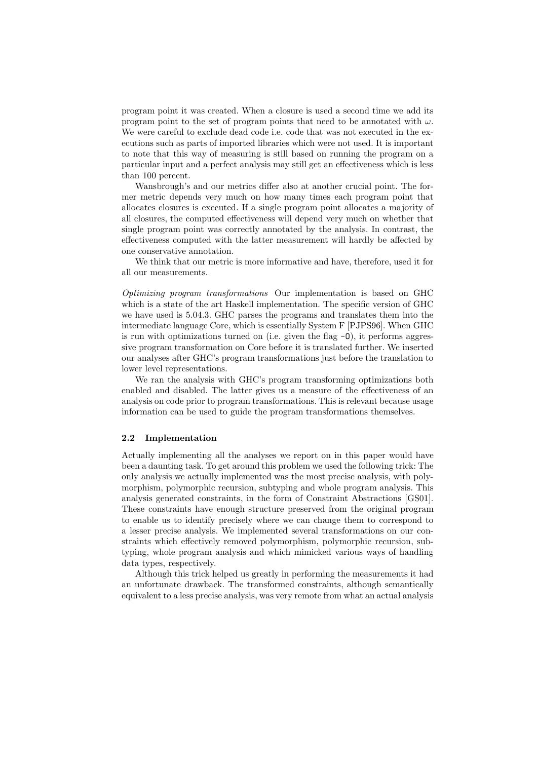program point it was created. When a closure is used a second time we add its program point to the set of program points that need to be annotated with  $\omega$ . We were careful to exclude dead code i.e. code that was not executed in the executions such as parts of imported libraries which were not used. It is important to note that this way of measuring is still based on running the program on a particular input and a perfect analysis may still get an effectiveness which is less than 100 percent.

Wansbrough's and our metrics differ also at another crucial point. The former metric depends very much on how many times each program point that allocates closures is executed. If a single program point allocates a majority of all closures, the computed effectiveness will depend very much on whether that single program point was correctly annotated by the analysis. In contrast, the effectiveness computed with the latter measurement will hardly be affected by one conservative annotation.

We think that our metric is more informative and have, therefore, used it for all our measurements.

Optimizing program transformations Our implementation is based on GHC which is a state of the art Haskell implementation. The specific version of GHC we have used is 5.04.3. GHC parses the programs and translates them into the intermediate language Core, which is essentially System F [PJPS96]. When GHC is run with optimizations turned on (i.e. given the flag  $-0$ ), it performs aggressive program transformation on Core before it is translated further. We inserted our analyses after GHC's program transformations just before the translation to lower level representations.

We ran the analysis with GHC's program transforming optimizations both enabled and disabled. The latter gives us a measure of the effectiveness of an analysis on code prior to program transformations. This is relevant because usage information can be used to guide the program transformations themselves.

## 2.2 Implementation

Actually implementing all the analyses we report on in this paper would have been a daunting task. To get around this problem we used the following trick: The only analysis we actually implemented was the most precise analysis, with polymorphism, polymorphic recursion, subtyping and whole program analysis. This analysis generated constraints, in the form of Constraint Abstractions [GS01]. These constraints have enough structure preserved from the original program to enable us to identify precisely where we can change them to correspond to a lesser precise analysis. We implemented several transformations on our constraints which effectively removed polymorphism, polymorphic recursion, subtyping, whole program analysis and which mimicked various ways of handling data types, respectively.

Although this trick helped us greatly in performing the measurements it had an unfortunate drawback. The transformed constraints, although semantically equivalent to a less precise analysis, was very remote from what an actual analysis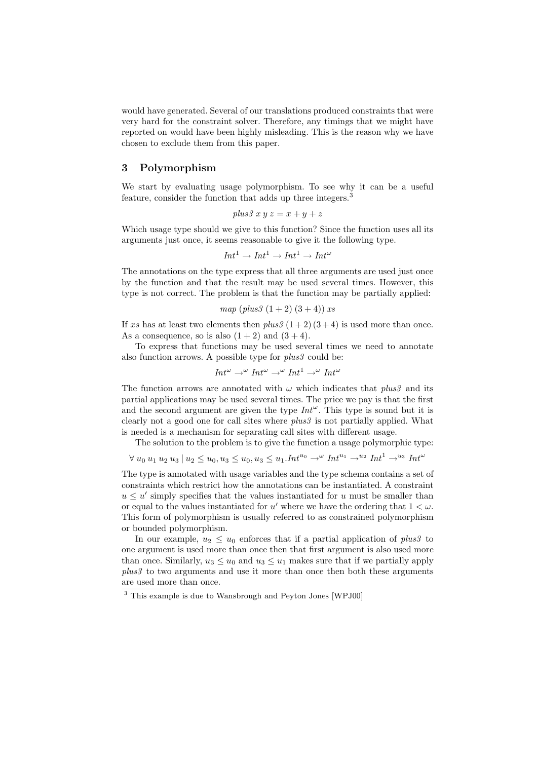would have generated. Several of our translations produced constraints that were very hard for the constraint solver. Therefore, any timings that we might have reported on would have been highly misleading. This is the reason why we have chosen to exclude them from this paper.

## 3 Polymorphism

We start by evaluating usage polymorphism. To see why it can be a useful feature, consider the function that adds up three integers.<sup>3</sup>

$$
plus \mathcal{3} x y z = x + y + z
$$

Which usage type should we give to this function? Since the function uses all its arguments just once, it seems reasonable to give it the following type.

$$
Int^{1} \to Int^{1} \to Int^{1} \to Int^{\omega}
$$

The annotations on the type express that all three arguments are used just once by the function and that the result may be used several times. However, this type is not correct. The problem is that the function may be partially applied:

$$
map
$$
 ( $plus3$  (1 + 2) (3 + 4))  $xs$ 

If xs has at least two elements then  $plus3(1+2)(3+4)$  is used more than once. As a consequence, so is also  $(1 + 2)$  and  $(3 + 4)$ .

To express that functions may be used several times we need to annotate also function arrows. A possible type for  $plus3$  could be:

$$
Int^{\omega} \to^{\omega} Int^{\omega} \to^{\omega} Int^{1} \to^{\omega} Int^{\omega}
$$

The function arrows are annotated with  $\omega$  which indicates that  $plus3$  and its partial applications may be used several times. The price we pay is that the first and the second argument are given the type  $Int^{\omega}$ . This type is sound but it is clearly not a good one for call sites where  $plus3$  is not partially applied. What is needed is a mechanism for separating call sites with different usage.

The solution to the problem is to give the function a usage polymorphic type:

$$
\forall u_0 \ u_1 \ u_2 \ u_3 \ | \ u_2 \leq u_0, u_3 \leq u_0, u_3 \leq u_1. Int^{u_0} \to^{\omega} Int^{u_1} \to^{u_2} Int^{1} \to^{u_3} Int^{\omega}
$$

The type is annotated with usage variables and the type schema contains a set of constraints which restrict how the annotations can be instantiated. A constraint  $u \leq u'$  simply specifies that the values instantiated for u must be smaller than or equal to the values instantiated for u' where we have the ordering that  $1 < \omega$ . This form of polymorphism is usually referred to as constrained polymorphism or bounded polymorphism.

In our example,  $u_2 \leq u_0$  enforces that if a partial application of plus3 to one argument is used more than once then that first argument is also used more than once. Similarly,  $u_3 \leq u_0$  and  $u_3 \leq u_1$  makes sure that if we partially apply plus3 to two arguments and use it more than once then both these arguments are used more than once.

<sup>3</sup> This example is due to Wansbrough and Peyton Jones [WPJ00]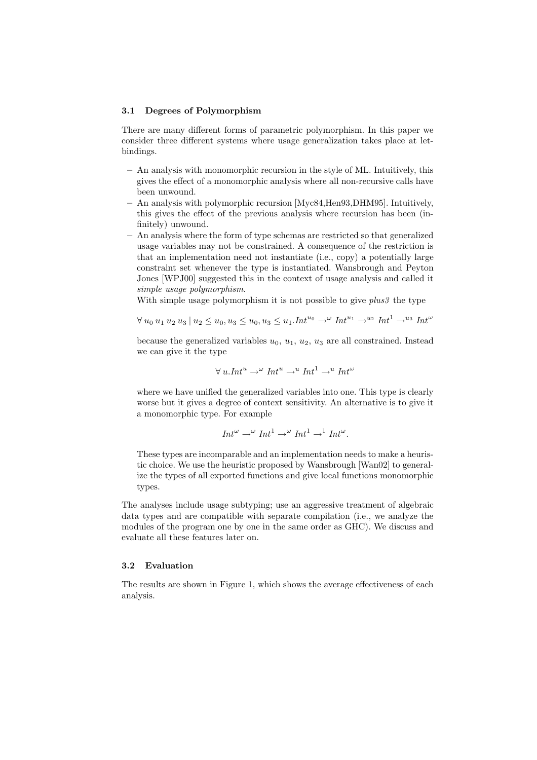#### 3.1 Degrees of Polymorphism

There are many different forms of parametric polymorphism. In this paper we consider three different systems where usage generalization takes place at letbindings.

- An analysis with monomorphic recursion in the style of ML. Intuitively, this gives the effect of a monomorphic analysis where all non-recursive calls have been unwound.
- An analysis with polymorphic recursion [Myc84,Hen93,DHM95]. Intuitively, this gives the effect of the previous analysis where recursion has been (infinitely) unwound.
- An analysis where the form of type schemas are restricted so that generalized usage variables may not be constrained. A consequence of the restriction is that an implementation need not instantiate (i.e., copy) a potentially large constraint set whenever the type is instantiated. Wansbrough and Peyton Jones [WPJ00] suggested this in the context of usage analysis and called it simple usage polymorphism.

With simple usage polymorphism it is not possible to give  $plus3$  the type

$$
\forall u_0 \ u_1 \ u_2 \ u_3 \ | \ u_2 \leq u_0, u_3 \leq u_0, u_3 \leq u_1. Int^{u_0} \to^{\omega} Int^{u_1} \to^{u_2} Int^{1} \to^{u_3} Int^{\omega}
$$

because the generalized variables  $u_0$ ,  $u_1$ ,  $u_2$ ,  $u_3$  are all constrained. Instead we can give it the type

$$
\forall u. Int^{u} \rightarrow^{\omega} Int^{u} \rightarrow^{\omega} Int^{1} \rightarrow^{\omega} Int^{\omega}
$$

where we have unified the generalized variables into one. This type is clearly worse but it gives a degree of context sensitivity. An alternative is to give it a monomorphic type. For example

$$
Int^{\omega} \to^{\omega} Int^{1} \to^{\omega} Int^{1} \to^1 Int^{\omega}.
$$

These types are incomparable and an implementation needs to make a heuristic choice. We use the heuristic proposed by Wansbrough [Wan02] to generalize the types of all exported functions and give local functions monomorphic types.

The analyses include usage subtyping; use an aggressive treatment of algebraic data types and are compatible with separate compilation (i.e., we analyze the modules of the program one by one in the same order as GHC). We discuss and evaluate all these features later on.

#### 3.2 Evaluation

The results are shown in Figure 1, which shows the average effectiveness of each analysis.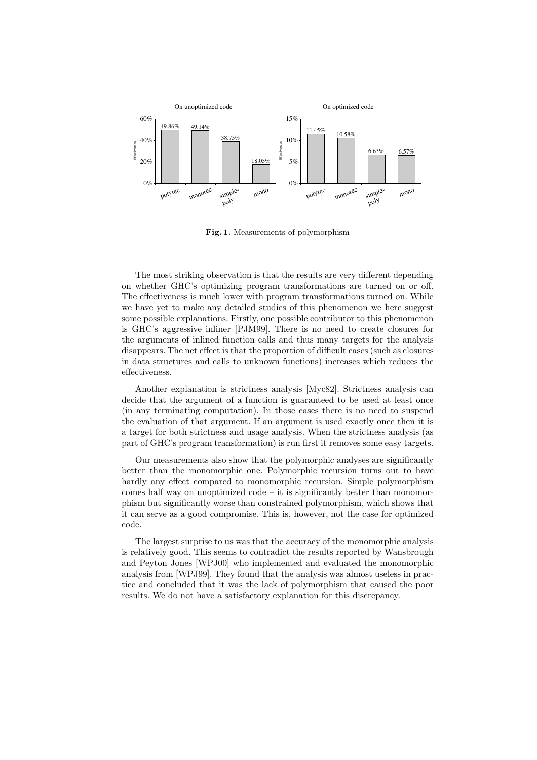

Fig. 1. Measurements of polymorphism

The most striking observation is that the results are very different depending on whether GHC's optimizing program transformations are turned on or off. The effectiveness is much lower with program transformations turned on. While we have yet to make any detailed studies of this phenomenon we here suggest some possible explanations. Firstly, one possible contributor to this phenomenon is GHC's aggressive inliner [PJM99]. There is no need to create closures for the arguments of inlined function calls and thus many targets for the analysis disappears. The net effect is that the proportion of difficult cases (such as closures in data structures and calls to unknown functions) increases which reduces the effectiveness.

Another explanation is strictness analysis [Myc82]. Strictness analysis can decide that the argument of a function is guaranteed to be used at least once (in any terminating computation). In those cases there is no need to suspend the evaluation of that argument. If an argument is used exactly once then it is a target for both strictness and usage analysis. When the strictness analysis (as part of GHC's program transformation) is run first it removes some easy targets.

Our measurements also show that the polymorphic analyses are significantly better than the monomorphic one. Polymorphic recursion turns out to have hardly any effect compared to monomorphic recursion. Simple polymorphism comes half way on unoptimized  $code - it$  is significantly better than monomorphism but significantly worse than constrained polymorphism, which shows that it can serve as a good compromise. This is, however, not the case for optimized code.

The largest surprise to us was that the accuracy of the monomorphic analysis is relatively good. This seems to contradict the results reported by Wansbrough and Peyton Jones [WPJ00] who implemented and evaluated the monomorphic analysis from [WPJ99]. They found that the analysis was almost useless in practice and concluded that it was the lack of polymorphism that caused the poor results. We do not have a satisfactory explanation for this discrepancy.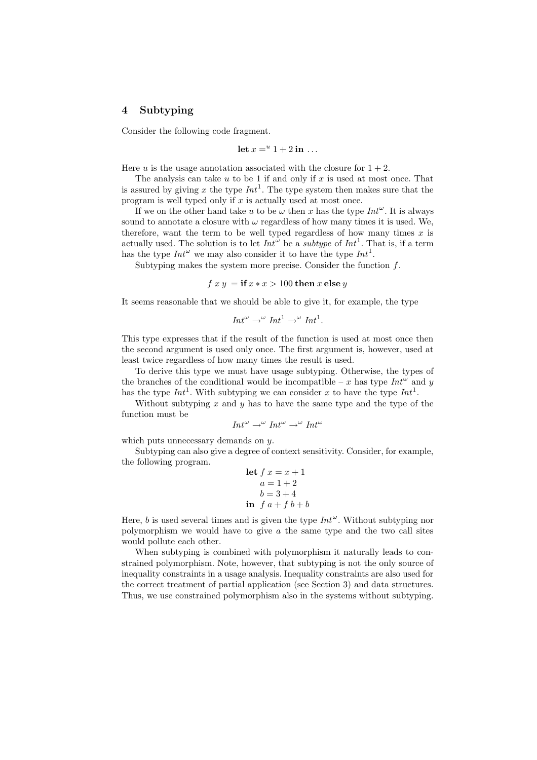## 4 Subtyping

Consider the following code fragment.

$$
let x = u1 + 2 in ...
$$

Here u is the usage annotation associated with the closure for  $1 + 2$ .

The analysis can take  $u$  to be 1 if and only if  $x$  is used at most once. That is assured by giving x the type  $Int^1$ . The type system then makes sure that the program is well typed only if  $x$  is actually used at most once.

If we on the other hand take u to be  $\omega$  then x has the type  $\textit{Int}^{\omega}$ . It is always sound to annotate a closure with  $\omega$  regardless of how many times it is used. We, therefore, want the term to be well typed regardless of how many times  $x$  is actually used. The solution is to let  $Int^{\omega}$  be a *subtype* of  $Int^{1}$ . That is, if a term has the type  $Int^{\omega}$  we may also consider it to have the type  $Int^1$ .

Subtyping makes the system more precise. Consider the function f.

$$
f x y = \mathbf{if} x \ast x > 100 \mathbf{ then} x \mathbf{ else } y
$$

It seems reasonable that we should be able to give it, for example, the type

$$
Int^{\omega} \to^{\omega} Int^{1} \to^{\omega} Int^{1}.
$$

This type expresses that if the result of the function is used at most once then the second argument is used only once. The first argument is, however, used at least twice regardless of how many times the result is used.

To derive this type we must have usage subtyping. Otherwise, the types of the branches of the conditional would be incompatible – x has type  $Int^{\omega}$  and y has the type  $Int^1$ . With subtyping we can consider x to have the type  $Int^1$ .

Without subtyping  $x$  and  $y$  has to have the same type and the type of the function must be

$$
\text{Int}^{\omega} \to^{\omega} \text{Int}^{\omega} \to^{\omega} \text{Int}^{\omega}
$$

which puts unnecessary demands on  $y$ .

Subtyping can also give a degree of context sensitivity. Consider, for example, the following program.

let 
$$
f x = x + 1
$$
  
\n $a = 1 + 2$   
\n $b = 3 + 4$   
\nin  $f a + f b + b$ 

Here, b is used several times and is given the type  $Int^{\omega}$ . Without subtyping nor polymorphism we would have to give  $a$  the same type and the two call sites would pollute each other.

When subtyping is combined with polymorphism it naturally leads to constrained polymorphism. Note, however, that subtyping is not the only source of inequality constraints in a usage analysis. Inequality constraints are also used for the correct treatment of partial application (see Section 3) and data structures. Thus, we use constrained polymorphism also in the systems without subtyping.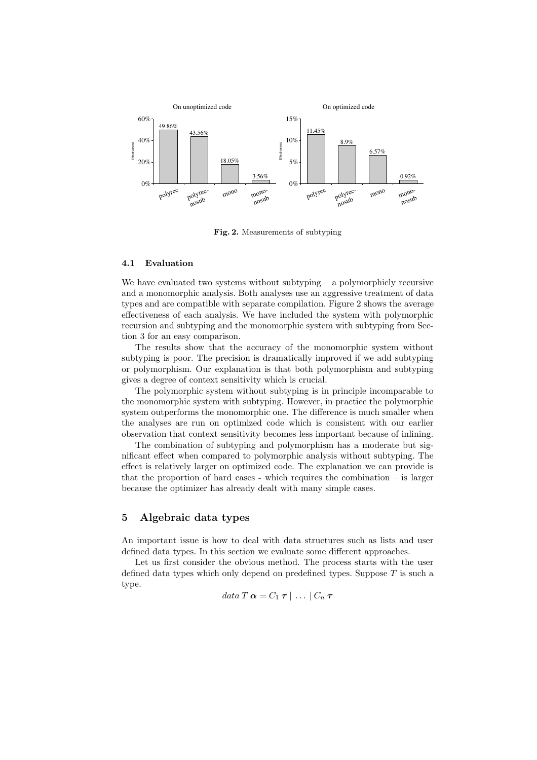

Fig. 2. Measurements of subtyping

#### 4.1 Evaluation

We have evaluated two systems without subtyping  $-$  a polymorphicly recursive and a monomorphic analysis. Both analyses use an aggressive treatment of data types and are compatible with separate compilation. Figure 2 shows the average effectiveness of each analysis. We have included the system with polymorphic recursion and subtyping and the monomorphic system with subtyping from Section 3 for an easy comparison.

The results show that the accuracy of the monomorphic system without subtyping is poor. The precision is dramatically improved if we add subtyping or polymorphism. Our explanation is that both polymorphism and subtyping gives a degree of context sensitivity which is crucial.

The polymorphic system without subtyping is in principle incomparable to the monomorphic system with subtyping. However, in practice the polymorphic system outperforms the monomorphic one. The difference is much smaller when the analyses are run on optimized code which is consistent with our earlier observation that context sensitivity becomes less important because of inlining.

The combination of subtyping and polymorphism has a moderate but significant effect when compared to polymorphic analysis without subtyping. The effect is relatively larger on optimized code. The explanation we can provide is that the proportion of hard cases - which requires the combination – is larger because the optimizer has already dealt with many simple cases.

# 5 Algebraic data types

An important issue is how to deal with data structures such as lists and user defined data types. In this section we evaluate some different approaches.

Let us first consider the obvious method. The process starts with the user defined data types which only depend on predefined types. Suppose  $T$  is such a type.

$$
data T \mathbf{\alpha} = C_1 \mathbf{\tau} | \ldots | C_n \mathbf{\tau}
$$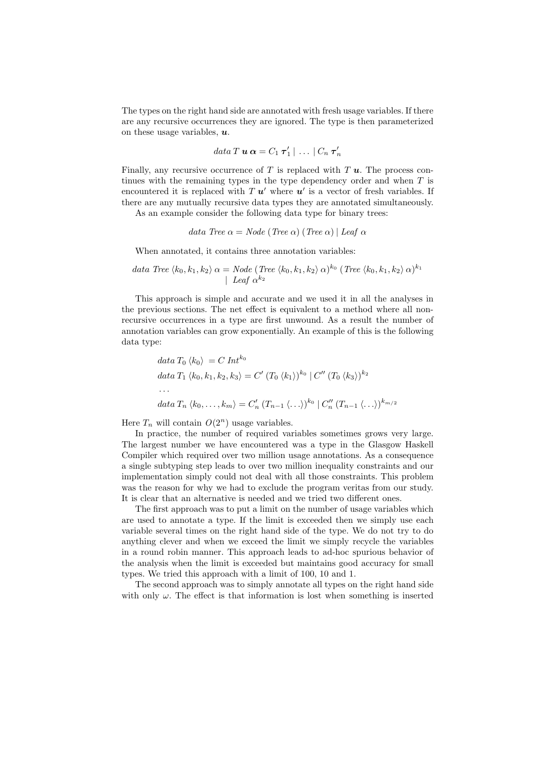The types on the right hand side are annotated with fresh usage variables. If there are any recursive occurrences they are ignored. The type is then parameterized on these usage variables,  $\boldsymbol{u}$ .

$$
data T \mathbf{u} \alpha = C_1 \tau'_1 | \ldots | C_n \tau'_n
$$

Finally, any recursive occurrence of  $T$  is replaced with  $T u$ . The process continues with the remaining types in the type dependency order and when  $T$  is encountered it is replaced with  $T u'$  where  $u'$  is a vector of fresh variables. If there are any mutually recursive data types they are annotated simultaneously.

As an example consider the following data type for binary trees:

data Tree 
$$
\alpha
$$
 = Node (Tree  $\alpha$ ) (Tree  $\alpha$ ) | Leaf  $\alpha$ 

When annotated, it contains three annotation variables:

data Tree 
$$
\langle k_0, k_1, k_2 \rangle \alpha = Node \ (Tree \ \langle k_0, k_1, k_2 \rangle \ \alpha)^{k_0} \ (Tree \ \langle k_0, k_1, k_2 \rangle \ \alpha)^{k_1}
$$
  
 | *Leaf*  $\alpha^{k_2}$ 

This approach is simple and accurate and we used it in all the analyses in the previous sections. The net effect is equivalent to a method where all nonrecursive occurrences in a type are first unwound. As a result the number of annotation variables can grow exponentially. An example of this is the following data type:

$$
data T_0 \langle k_0 \rangle = C Int^{k_0}
$$
  
\n
$$
data T_1 \langle k_0, k_1, k_2, k_3 \rangle = C' (T_0 \langle k_1 \rangle)^{k_0} | C'' (T_0 \langle k_3 \rangle)^{k_2}
$$
  
\n...  
\n
$$
data T_n \langle k_0, \dots, k_m \rangle = C'_n (T_{n-1} \langle \dots \rangle)^{k_0} | C''_n (T_{n-1} \langle \dots \rangle)^{k_{m/2}}
$$

Here  $T_n$  will contain  $O(2^n)$  usage variables.

In practice, the number of required variables sometimes grows very large. The largest number we have encountered was a type in the Glasgow Haskell Compiler which required over two million usage annotations. As a consequence a single subtyping step leads to over two million inequality constraints and our implementation simply could not deal with all those constraints. This problem was the reason for why we had to exclude the program veritas from our study. It is clear that an alternative is needed and we tried two different ones.

The first approach was to put a limit on the number of usage variables which are used to annotate a type. If the limit is exceeded then we simply use each variable several times on the right hand side of the type. We do not try to do anything clever and when we exceed the limit we simply recycle the variables in a round robin manner. This approach leads to ad-hoc spurious behavior of the analysis when the limit is exceeded but maintains good accuracy for small types. We tried this approach with a limit of 100, 10 and 1.

The second approach was to simply annotate all types on the right hand side with only  $\omega$ . The effect is that information is lost when something is inserted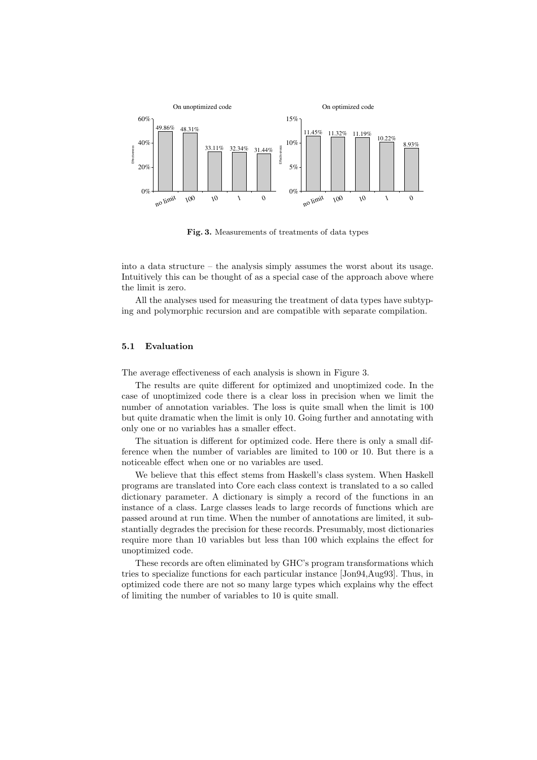

Fig. 3. Measurements of treatments of data types

into a data structure – the analysis simply assumes the worst about its usage. Intuitively this can be thought of as a special case of the approach above where the limit is zero.

All the analyses used for measuring the treatment of data types have subtyping and polymorphic recursion and are compatible with separate compilation.

#### 5.1 Evaluation

The average effectiveness of each analysis is shown in Figure 3.

The results are quite different for optimized and unoptimized code. In the case of unoptimized code there is a clear loss in precision when we limit the number of annotation variables. The loss is quite small when the limit is 100 but quite dramatic when the limit is only 10. Going further and annotating with only one or no variables has a smaller effect.

The situation is different for optimized code. Here there is only a small difference when the number of variables are limited to 100 or 10. But there is a noticeable effect when one or no variables are used.

We believe that this effect stems from Haskell's class system. When Haskell programs are translated into Core each class context is translated to a so called dictionary parameter. A dictionary is simply a record of the functions in an instance of a class. Large classes leads to large records of functions which are passed around at run time. When the number of annotations are limited, it substantially degrades the precision for these records. Presumably, most dictionaries require more than 10 variables but less than 100 which explains the effect for unoptimized code.

These records are often eliminated by GHC's program transformations which tries to specialize functions for each particular instance [Jon94,Aug93]. Thus, in optimized code there are not so many large types which explains why the effect of limiting the number of variables to 10 is quite small.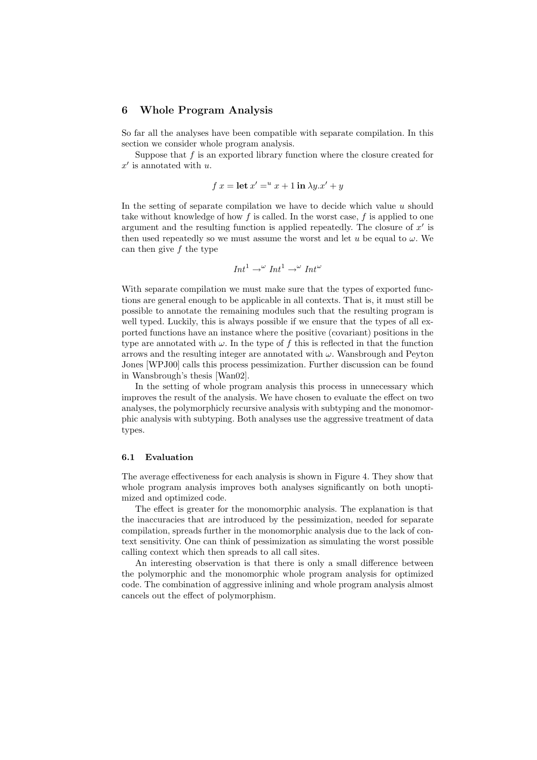#### 6 Whole Program Analysis

So far all the analyses have been compatible with separate compilation. In this section we consider whole program analysis.

Suppose that  $f$  is an exported library function where the closure created for  $x'$  is annotated with u.

$$
f x = \text{let } x' = u x + 1 \text{ in } \lambda y. x' + y
$$

In the setting of separate compilation we have to decide which value  $u$  should take without knowledge of how  $f$  is called. In the worst case,  $f$  is applied to one argument and the resulting function is applied repeatedly. The closure of  $x'$  is then used repeatedly so we must assume the worst and let u be equal to  $\omega$ . We can then give  $f$  the type

$$
Int^{1} \to^{\omega} Int^{1} \to^{\omega} Int^{\omega}
$$

With separate compilation we must make sure that the types of exported functions are general enough to be applicable in all contexts. That is, it must still be possible to annotate the remaining modules such that the resulting program is well typed. Luckily, this is always possible if we ensure that the types of all exported functions have an instance where the positive (covariant) positions in the type are annotated with  $\omega$ . In the type of f this is reflected in that the function arrows and the resulting integer are annotated with  $\omega$ . Wansbrough and Peyton Jones [WPJ00] calls this process pessimization. Further discussion can be found in Wansbrough's thesis [Wan02].

In the setting of whole program analysis this process in unnecessary which improves the result of the analysis. We have chosen to evaluate the effect on two analyses, the polymorphicly recursive analysis with subtyping and the monomorphic analysis with subtyping. Both analyses use the aggressive treatment of data types.

#### 6.1 Evaluation

The average effectiveness for each analysis is shown in Figure 4. They show that whole program analysis improves both analyses significantly on both unoptimized and optimized code.

The effect is greater for the monomorphic analysis. The explanation is that the inaccuracies that are introduced by the pessimization, needed for separate compilation, spreads further in the monomorphic analysis due to the lack of context sensitivity. One can think of pessimization as simulating the worst possible calling context which then spreads to all call sites.

An interesting observation is that there is only a small difference between the polymorphic and the monomorphic whole program analysis for optimized code. The combination of aggressive inlining and whole program analysis almost cancels out the effect of polymorphism.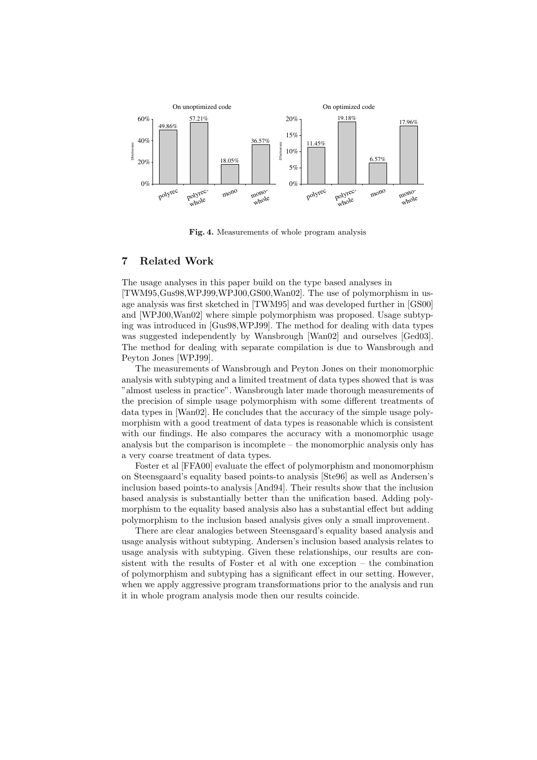

Fig. 4. Measurements of whole program analysis

# 7 Related Work

The usage analyses in this paper build on the type based analyses in [TWM95,Gus98,WPJ99,WPJ00,GS00,Wan02]. The use of polymorphism in usage analysis was first sketched in [TWM95] and was developed further in [GS00] and [WPJ00,Wan02] where simple polymorphism was proposed. Usage subtyping was introduced in [Gus98,WPJ99]. The method for dealing with data types was suggested independently by Wansbrough [Wan02] and ourselves [Ged03]. The method for dealing with separate compilation is due to Wansbrough and Peyton Jones [WPJ99].

The measurements of Wansbrough and Peyton Jones on their monomorphic analysis with subtyping and a limited treatment of data types showed that is was "almost useless in practice". Wansbrough later made thorough measurements of the precision of simple usage polymorphism with some different treatments of data types in [Wan02]. He concludes that the accuracy of the simple usage polymorphism with a good treatment of data types is reasonable which is consistent with our findings. He also compares the accuracy with a monomorphic usage analysis but the comparison is incomplete – the monomorphic analysis only has a very coarse treatment of data types.

Foster et al [FFA00] evaluate the effect of polymorphism and monomorphism on Steensgaard's equality based points-to analysis [Ste96] as well as Andersen's inclusion based points-to analysis [And94]. Their results show that the inclusion based analysis is substantially better than the unification based. Adding polymorphism to the equality based analysis also has a substantial effect but adding polymorphism to the inclusion based analysis gives only a small improvement.

There are clear analogies between Steensgaard's equality based analysis and usage analysis without subtyping. Andersen's inclusion based analysis relates to usage analysis with subtyping. Given these relationships, our results are consistent with the results of Foster et al with one exception – the combination of polymorphism and subtyping has a significant effect in our setting. However, when we apply aggressive program transformations prior to the analysis and run it in whole program analysis mode then our results coincide.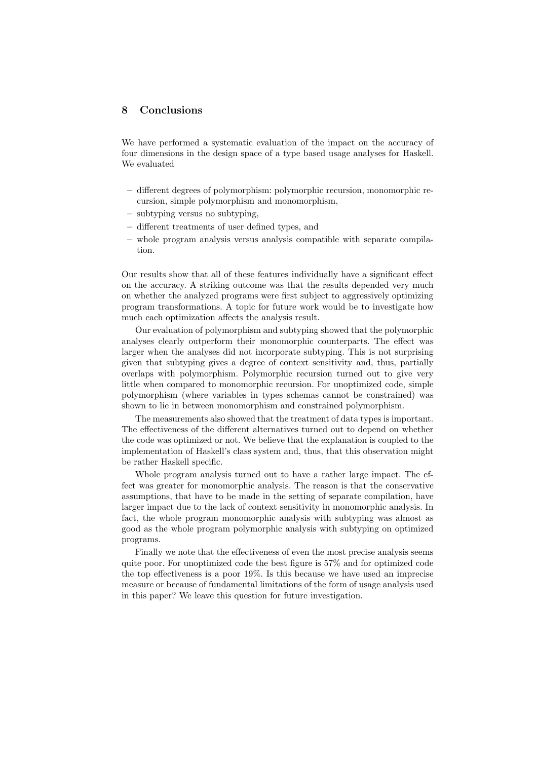# 8 Conclusions

We have performed a systematic evaluation of the impact on the accuracy of four dimensions in the design space of a type based usage analyses for Haskell. We evaluated

- different degrees of polymorphism: polymorphic recursion, monomorphic recursion, simple polymorphism and monomorphism,
- subtyping versus no subtyping,
- different treatments of user defined types, and
- whole program analysis versus analysis compatible with separate compilation.

Our results show that all of these features individually have a significant effect on the accuracy. A striking outcome was that the results depended very much on whether the analyzed programs were first subject to aggressively optimizing program transformations. A topic for future work would be to investigate how much each optimization affects the analysis result.

Our evaluation of polymorphism and subtyping showed that the polymorphic analyses clearly outperform their monomorphic counterparts. The effect was larger when the analyses did not incorporate subtyping. This is not surprising given that subtyping gives a degree of context sensitivity and, thus, partially overlaps with polymorphism. Polymorphic recursion turned out to give very little when compared to monomorphic recursion. For unoptimized code, simple polymorphism (where variables in types schemas cannot be constrained) was shown to lie in between monomorphism and constrained polymorphism.

The measurements also showed that the treatment of data types is important. The effectiveness of the different alternatives turned out to depend on whether the code was optimized or not. We believe that the explanation is coupled to the implementation of Haskell's class system and, thus, that this observation might be rather Haskell specific.

Whole program analysis turned out to have a rather large impact. The effect was greater for monomorphic analysis. The reason is that the conservative assumptions, that have to be made in the setting of separate compilation, have larger impact due to the lack of context sensitivity in monomorphic analysis. In fact, the whole program monomorphic analysis with subtyping was almost as good as the whole program polymorphic analysis with subtyping on optimized programs.

Finally we note that the effectiveness of even the most precise analysis seems quite poor. For unoptimized code the best figure is 57% and for optimized code the top effectiveness is a poor 19%. Is this because we have used an imprecise measure or because of fundamental limitations of the form of usage analysis used in this paper? We leave this question for future investigation.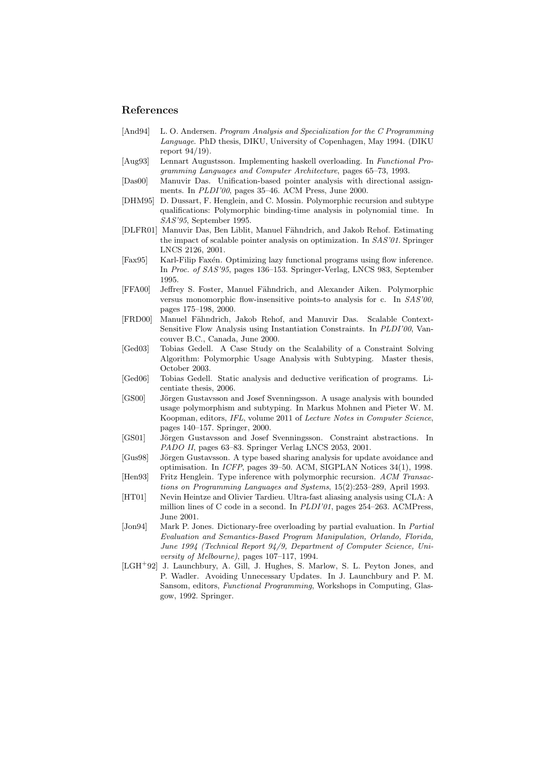## References

- [And94] L. O. Andersen. Program Analysis and Specialization for the C Programming Language. PhD thesis, DIKU, University of Copenhagen, May 1994. (DIKU report 94/19).
- [Aug93] Lennart Augustsson. Implementing haskell overloading. In Functional Programming Languages and Computer Architecture, pages 65–73, 1993.
- [Das00] Manuvir Das. Unification-based pointer analysis with directional assignments. In PLDI'00, pages 35–46. ACM Press, June 2000.
- [DHM95] D. Dussart, F. Henglein, and C. Mossin. Polymorphic recursion and subtype qualifications: Polymorphic binding-time analysis in polynomial time. In SAS'95, September 1995.
- [DLFR01] Manuvir Das, Ben Liblit, Manuel Fähndrich, and Jakob Rehof. Estimating the impact of scalable pointer analysis on optimization. In SAS'01. Springer LNCS 2126, 2001.
- [Fax95] Karl-Filip Faxén. Optimizing lazy functional programs using flow inference. In Proc. of SAS'95, pages 136–153. Springer-Verlag, LNCS 983, September 1995.
- [FFA00] Jeffrey S. Foster, Manuel Fähndrich, and Alexander Aiken. Polymorphic versus monomorphic flow-insensitive points-to analysis for c. In SAS'00, pages 175–198, 2000.
- [FRD00] Manuel Fähndrich, Jakob Rehof, and Manuvir Das. Scalable Context-Sensitive Flow Analysis using Instantiation Constraints. In PLDI'00, Vancouver B.C., Canada, June 2000.
- [Ged03] Tobias Gedell. A Case Study on the Scalability of a Constraint Solving Algorithm: Polymorphic Usage Analysis with Subtyping. Master thesis, October 2003.
- [Ged06] Tobias Gedell. Static analysis and deductive verification of programs. Licentiate thesis, 2006.
- [GS00] Jörgen Gustavsson and Josef Svenningsson. A usage analysis with bounded usage polymorphism and subtyping. In Markus Mohnen and Pieter W. M. Koopman, editors, IFL, volume 2011 of Lecture Notes in Computer Science, pages 140–157. Springer, 2000.
- [GS01] Jörgen Gustavsson and Josef Svenningsson. Constraint abstractions. In PADO II, pages 63–83. Springer Verlag LNCS 2053, 2001.
- [Gus98] Jörgen Gustavsson. A type based sharing analysis for update avoidance and optimisation. In ICFP, pages 39–50. ACM, SIGPLAN Notices 34(1), 1998.
- [Hen93] Fritz Henglein. Type inference with polymorphic recursion. ACM Transactions on Programming Languages and Systems, 15(2):253–289, April 1993.
- [HT01] Nevin Heintze and Olivier Tardieu. Ultra-fast aliasing analysis using CLA: A million lines of C code in a second. In PLDI'01, pages 254–263. ACMPress, June 2001.
- [Jon94] Mark P. Jones. Dictionary-free overloading by partial evaluation. In Partial Evaluation and Semantics-Based Program Manipulation, Orlando, Florida, June 1994 (Technical Report 94/9, Department of Computer Science, University of Melbourne), pages 107–117, 1994.
- [LGH<sup>+</sup>92] J. Launchbury, A. Gill, J. Hughes, S. Marlow, S. L. Peyton Jones, and P. Wadler. Avoiding Unnecessary Updates. In J. Launchbury and P. M. Sansom, editors, Functional Programming, Workshops in Computing, Glasgow, 1992. Springer.